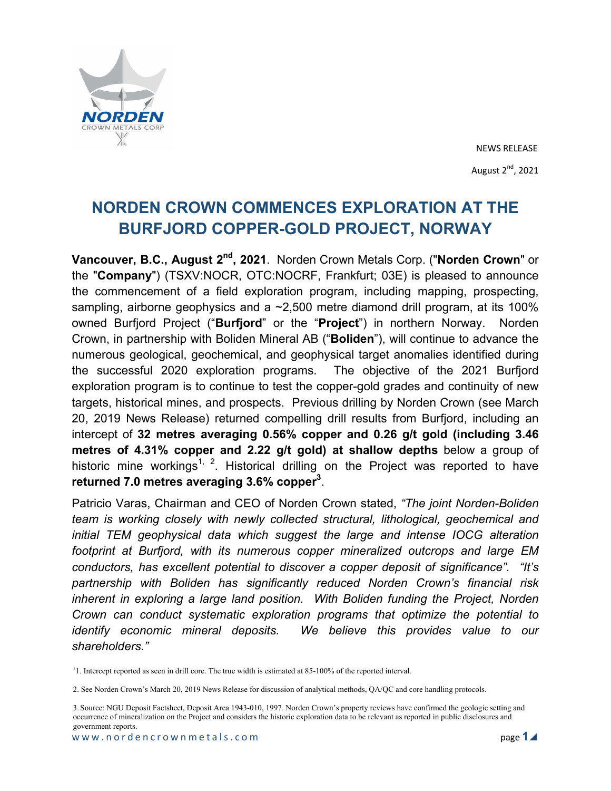

# **NORDEN CROWN COMMENCES EXPLORATION AT THE BURFJORD COPPER-GOLD PROJECT, NORWAY**

**Vancouver, B.C., August 2nd, 2021**. Norden Crown Metals Corp. ("**Norden Crown**" or the "**Company**") (TSXV:NOCR, OTC:NOCRF, Frankfurt; 03E) is pleased to announce the commencement of a field exploration program, including mapping, prospecting, sampling, airborne geophysics and a  $\sim$ 2,500 metre diamond drill program, at its 100% owned Burfjord Project ("**Burfjord**" or the "**Project**") in northern Norway. Norden Crown, in partnership with Boliden Mineral AB ("**Boliden**"), will continue to advance the numerous geological, geochemical, and geophysical target anomalies identified during the successful 2020 exploration programs. The objective of the 2021 Burfjord exploration program is to continue to test the copper-gold grades and continuity of new targets, historical mines, and prospects. Previous drilling by Norden Crown (see March 20, 2019 News Release) returned compelling drill results from Burfjord, including an intercept of **32 metres averaging 0.56% copper and 0.26 g/t gold (including 3.46 metres of 4.31% copper and 2.22 g/t gold) at shallow depths** below a group of historic mine workings<sup>1, 2</sup>. Historical drilling on the Project was reported to have **returned 7.0 metres averaging 3.6% copper<sup>3</sup>** .

Patricio Varas, Chairman and CEO of Norden Crown stated, *"The joint Norden-Boliden team is working closely with newly collected structural, lithological, geochemical and initial TEM geophysical data which suggest the large and intense IOCG alteration footprint at Burfjord, with its numerous copper mineralized outcrops and large EM conductors, has excellent potential to discover a copper deposit of significance". "It's partnership with Boliden has significantly reduced Norden Crown's financial risk inherent in exploring a large land position. With Boliden funding the Project, Norden Crown can conduct systematic exploration programs that optimize the potential to identify economic mineral deposits. We believe this provides value to our shareholders."*

<sup>1</sup>1. Intercept reported as seen in drill core. The true width is estimated at 85-100% of the reported interval.

2. See Norden Crown's March 20, 2019 News Release for discussion of analytical methods, QA/QC and core handling protocols.

<sup>3.</sup> Source: NGU Deposit Factsheet, Deposit Area 1943-010, 1997. Norden Crown's property reviews have confirmed the geologic setting and occurrence of mineralization on the Project and considers the historic exploration data to be relevant as reported in public disclosures and government reports.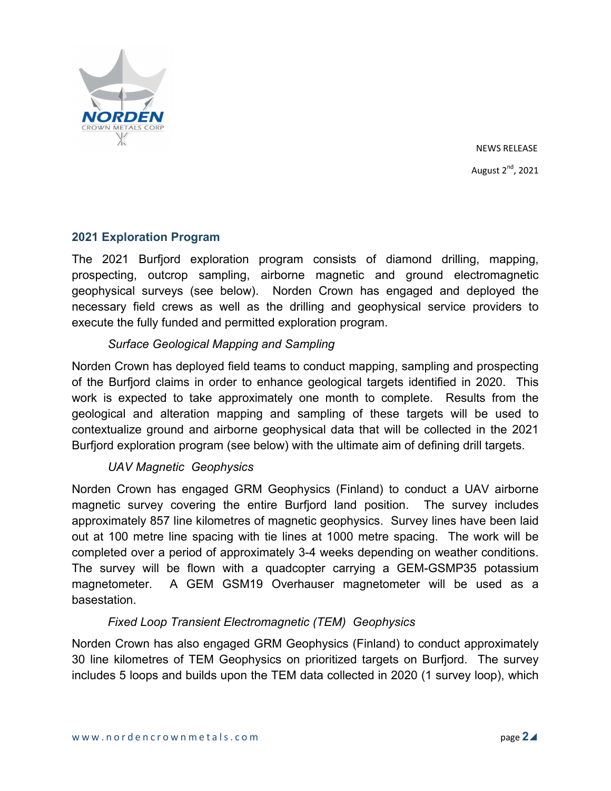

# **2021 Exploration Program**

The 2021 Burfjord exploration program consists of diamond drilling, mapping, prospecting, outcrop sampling, airborne magnetic and ground electromagnetic geophysical surveys (see below). Norden Crown has engaged and deployed the necessary field crews as well as the drilling and geophysical service providers to execute the fully funded and permitted exploration program.

# *Surface Geological Mapping and Sampling*

Norden Crown has deployed field teams to conduct mapping, sampling and prospecting of the Burfjord claims in order to enhance geological targets identified in 2020. This work is expected to take approximately one month to complete. Results from the geological and alteration mapping and sampling of these targets will be used to contextualize ground and airborne geophysical data that will be collected in the 2021 Burfjord exploration program (see below) with the ultimate aim of defining drill targets.

# *UAV Magnetic Geophysics*

Norden Crown has engaged GRM Geophysics (Finland) to conduct a UAV airborne magnetic survey covering the entire Burfjord land position. The survey includes approximately 857 line kilometres of magnetic geophysics. Survey lines have been laid out at 100 metre line spacing with tie lines at 1000 metre spacing. The work will be completed over a period of approximately 3-4 weeks depending on weather conditions. The survey will be flown with a quadcopter carrying a GEM-GSMP35 potassium magnetometer. A GEM GSM19 Overhauser magnetometer will be used as a basestation.

# *Fixed Loop Transient Electromagnetic (TEM) Geophysics*

Norden Crown has also engaged GRM Geophysics (Finland) to conduct approximately 30 line kilometres of TEM Geophysics on prioritized targets on Burfjord. The survey includes 5 loops and builds upon the TEM data collected in 2020 (1 survey loop), which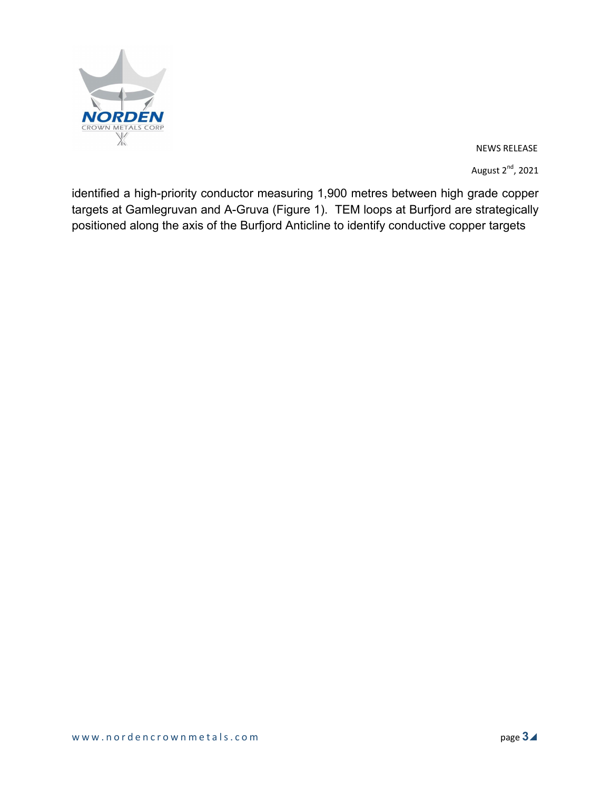

NEWS RELEASE

August  $2^{nd}$ , 2021

identified a high-priority conductor measuring 1,900 metres between high grade copper targets at Gamlegruvan and A-Gruva (Figure 1). TEM loops at Burfjord are strategically positioned along the axis of the Burfjord Anticline to identify conductive copper targets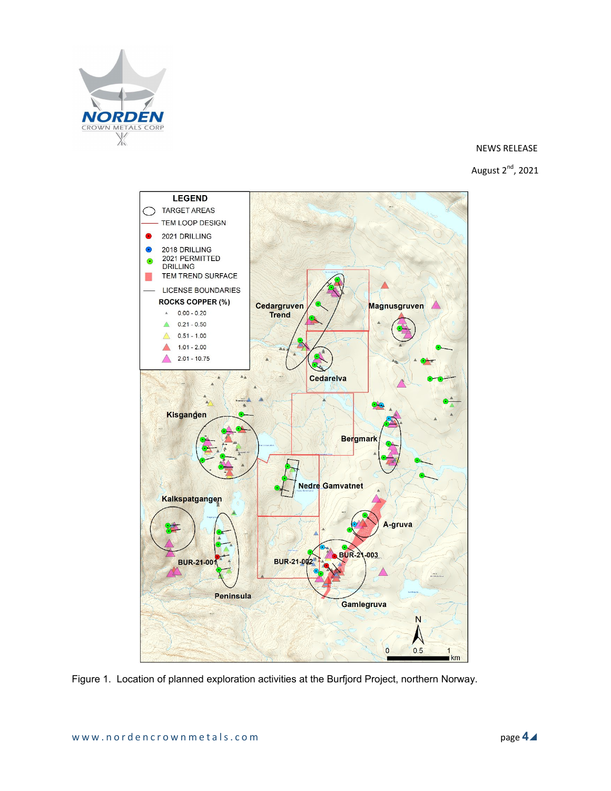

#### NEWS RELEASE





Figure 1. Location of planned exploration activities at the Burfjord Project, northern Norway.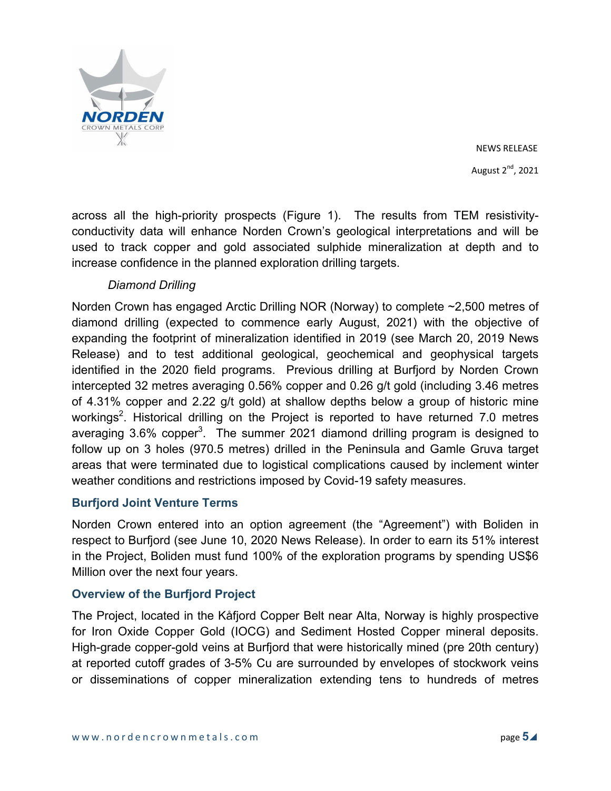

across all the high-priority prospects (Figure 1). The results from TEM resistivityconductivity data will enhance Norden Crown's geological interpretations and will be used to track copper and gold associated sulphide mineralization at depth and to increase confidence in the planned exploration drilling targets.

# *Diamond Drilling*

Norden Crown has engaged Arctic Drilling NOR (Norway) to complete ~2,500 metres of diamond drilling (expected to commence early August, 2021) with the objective of expanding the footprint of mineralization identified in 2019 (see March 20, 2019 News Release) and to test additional geological, geochemical and geophysical targets identified in the 2020 field programs. Previous drilling at Burfjord by Norden Crown intercepted 32 metres averaging 0.56% copper and 0.26 g/t gold (including 3.46 metres of 4.31% copper and 2.22 g/t gold) at shallow depths below a group of historic mine workings $^2$ . Historical drilling on the Project is reported to have returned 7.0 metres averaging 3.6% copper<sup>3</sup>. The summer 2021 diamond drilling program is designed to follow up on 3 holes (970.5 metres) drilled in the Peninsula and Gamle Gruva target areas that were terminated due to logistical complications caused by inclement winter weather conditions and restrictions imposed by Covid-19 safety measures.

# **Burfjord Joint Venture Terms**

Norden Crown entered into an option agreement (the "Agreement") with Boliden in respect to Burfjord (see June 10, 2020 News Release). In order to earn its 51% interest in the Project, Boliden must fund 100% of the exploration programs by spending US\$6 Million over the next four years.

# **Overview of the Burfjord Project**

The Project, located in the Kåfjord Copper Belt near Alta, Norway is highly prospective for Iron Oxide Copper Gold (IOCG) and Sediment Hosted Copper mineral deposits. High-grade copper-gold veins at Burfjord that were historically mined (pre 20th century) at reported cutoff grades of 3-5% Cu are surrounded by envelopes of stockwork veins or disseminations of copper mineralization extending tens to hundreds of metres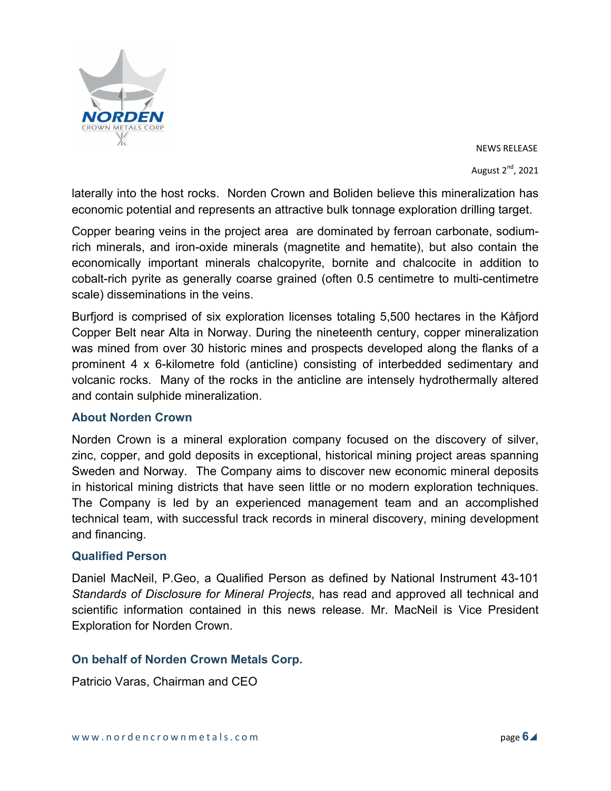

laterally into the host rocks. Norden Crown and Boliden believe this mineralization has economic potential and represents an attractive bulk tonnage exploration drilling target.

Copper bearing veins in the project area are dominated by ferroan carbonate, sodiumrich minerals, and iron-oxide minerals (magnetite and hematite), but also contain the economically important minerals chalcopyrite, bornite and chalcocite in addition to cobalt-rich pyrite as generally coarse grained (often 0.5 centimetre to multi-centimetre scale) disseminations in the veins.

Burfjord is comprised of six exploration licenses totaling 5,500 hectares in the Kåfjord Copper Belt near Alta in Norway. During the nineteenth century, copper mineralization was mined from over 30 historic mines and prospects developed along the flanks of a prominent 4 x 6-kilometre fold (anticline) consisting of interbedded sedimentary and volcanic rocks. Many of the rocks in the anticline are intensely hydrothermally altered and contain sulphide mineralization.

# **About Norden Crown**

Norden Crown is a mineral exploration company focused on the discovery of silver, zinc, copper, and gold deposits in exceptional, historical mining project areas spanning Sweden and Norway. The Company aims to discover new economic mineral deposits in historical mining districts that have seen little or no modern exploration techniques. The Company is led by an experienced management team and an accomplished technical team, with successful track records in mineral discovery, mining development and financing.

# **Qualified Person**

Daniel MacNeil, P.Geo, a Qualified Person as defined by National Instrument 43-101 *Standards of Disclosure for Mineral Projects*, has read and approved all technical and scientific information contained in this news release. Mr. MacNeil is Vice President Exploration for Norden Crown.

# **On behalf of Norden Crown Metals Corp.**

Patricio Varas, Chairman and CEO